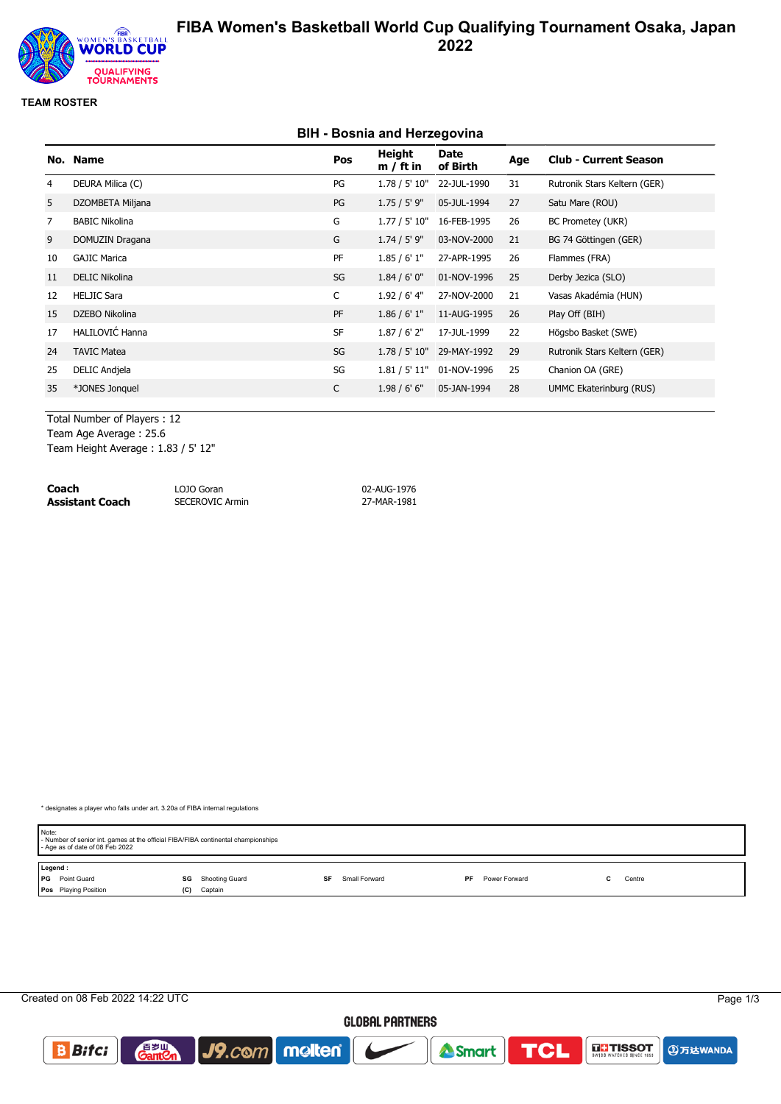

# **FIBA Women's Basketball World Cup Qualifying Tournament Osaka, Japan 2022**

### **TEAM ROSTER**

### **BIH - Bosnia and Herzegovina**

|                | No. Name               | Pos       | Height<br>$m / ft$ in | Date<br>of Birth | Age | <b>Club - Current Season</b>   |
|----------------|------------------------|-----------|-----------------------|------------------|-----|--------------------------------|
| 4              | DEURA Milica (C)       | PG        | 1.78 / 5' 10"         | 22-JUL-1990      | 31  | Rutronik Stars Keltern (GER)   |
| 5              | DZOMBETA Miljana       | PG        | 1.75 / 5' 9"          | 05-JUL-1994      | 27  | Satu Mare (ROU)                |
| $\overline{7}$ | <b>BABIC Nikolina</b>  | G         | 1.77 / 5' 10"         | 16-FEB-1995      | 26  | BC Prometey (UKR)              |
| 9              | DOMUZIN Dragana        | G         | $1.74 / 5'$ 9"        | 03-NOV-2000      | 21  | BG 74 Göttingen (GER)          |
| 10             | <b>GAJIC Marica</b>    | PF        | 1.85/6'1"             | 27-APR-1995      | 26  | Flammes (FRA)                  |
| 11             | <b>DELIC Nikolina</b>  | SG        | 1.84/6'0''            | 01-NOV-1996      | 25  | Derby Jezica (SLO)             |
| 12             | <b>HELJIC Sara</b>     | C         | 1.92 / 6' 4"          | 27-NOV-2000      | 21  | Vasas Akadémia (HUN)           |
| 15             | DZEBO Nikolina         | PF        | 1.86 / 6' 1''         | 11-AUG-1995      | 26  | Play Off (BIH)                 |
| 17             | <b>HALILOVIĆ Hanna</b> | <b>SF</b> | $1.87/6'$ 2"          | 17-JUL-1999      | 22  | Högsbo Basket (SWE)            |
| 24             | <b>TAVIC Matea</b>     | SG        | 1.78 / 5' 10"         | 29-MAY-1992      | 29  | Rutronik Stars Keltern (GER)   |
| 25             | <b>DELIC Andjela</b>   | SG        | 1.81 / 5' 11"         | 01-NOV-1996      | 25  | Chanion OA (GRE)               |
| 35             | *JONES Jonquel         | C         | 1.98/6'6''            | 05-JAN-1994      | 28  | <b>UMMC Ekaterinburg (RUS)</b> |

Total Number of Players : 12 Team Age Average : 25.6

Team Height Average : 1.83 / 5' 12"

| Coach           | LOJO Goran             | 02-AUG-1976 |
|-----------------|------------------------|-------------|
| Assistant Coach | <b>SECEROVIC Armin</b> | 27-MAR-1981 |

\* designates a player who falls under art. 3.20a of FIBA internal regulations

| Note:<br>- Age as of date of 08 Feb 2022 | - Number of senior int. games at the official FIBA/FIBA continental championships |                     |                            |        |  |  |  |  |  |
|------------------------------------------|-----------------------------------------------------------------------------------|---------------------|----------------------------|--------|--|--|--|--|--|
| Legend:                                  |                                                                                   |                     |                            |        |  |  |  |  |  |
| <b>PG</b> Point Guard                    | Shooting Guard<br>SG                                                              | Small Forward<br>SF | <b>PF</b><br>Power Forward | Centre |  |  |  |  |  |
| Pos Playing Position                     | Captain<br>(C)                                                                    |                     |                            |        |  |  |  |  |  |

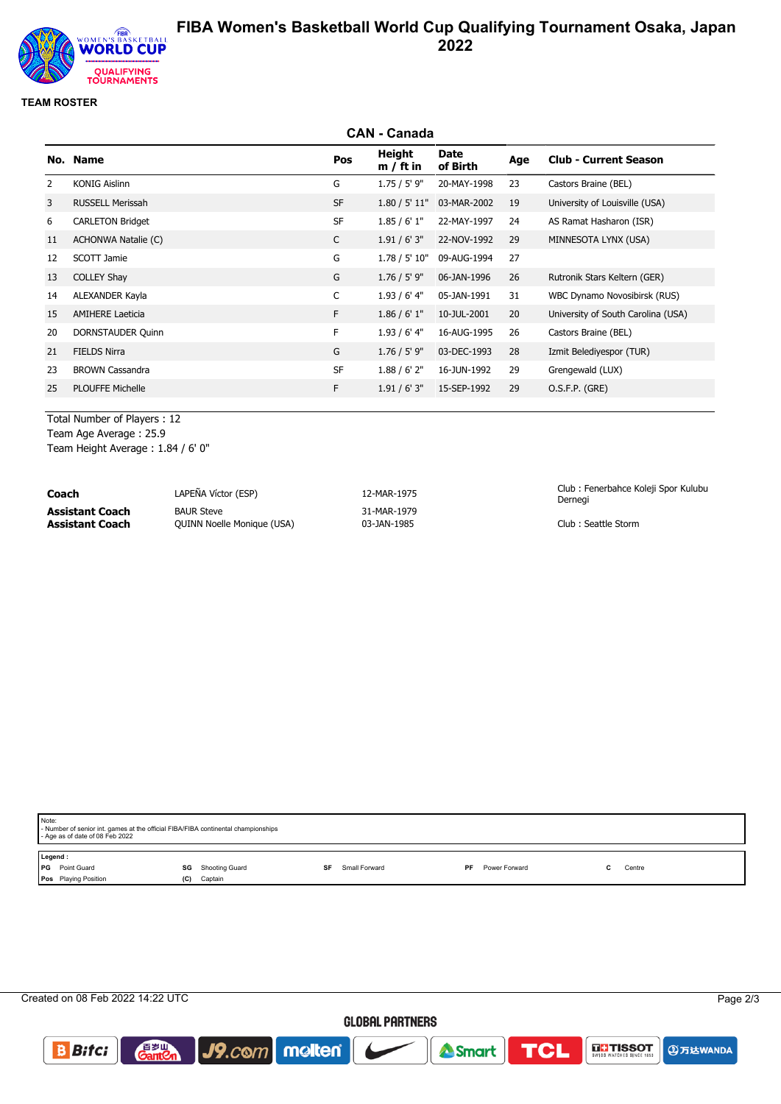

# **FIBA Women's Basketball World Cup Qualifying Tournament Osaka, Japan 2022**

### **TEAM ROSTER**

|                | <b>CAN - Canada</b>     |           |                       |                  |     |                                    |  |
|----------------|-------------------------|-----------|-----------------------|------------------|-----|------------------------------------|--|
|                | No. Name                | Pos       | Height<br>$m / ft$ in | Date<br>of Birth | Age | <b>Club - Current Season</b>       |  |
| $\overline{2}$ | <b>KONIG Aislinn</b>    | G         | 1.75 / 5' 9''         | 20-MAY-1998      | 23  | Castors Braine (BEL)               |  |
| 3              | <b>RUSSELL Merissah</b> | <b>SF</b> | 1.80 / 5' 11"         | 03-MAR-2002      | 19  | University of Louisville (USA)     |  |
| 6              | <b>CARLETON Bridget</b> | <b>SF</b> | 1.85/6'1"             | 22-MAY-1997      | 24  | AS Ramat Hasharon (ISR)            |  |
| 11             | ACHONWA Natalie (C)     | C         | 1.91 / 6' 3''         | 22-NOV-1992      | 29  | MINNESOTA LYNX (USA)               |  |
| 12             | SCOTT Jamie             | G         | 1.78 / 5' 10"         | 09-AUG-1994      | 27  |                                    |  |
| 13             | <b>COLLEY Shay</b>      | G         | $1.76 / 5'$ 9"        | 06-JAN-1996      | 26  | Rutronik Stars Keltern (GER)       |  |
| 14             | ALEXANDER Kayla         | C         | $1.93/6'$ 4"          | 05-JAN-1991      | 31  | WBC Dynamo Novosibirsk (RUS)       |  |
| 15             | <b>AMIHERE Laeticia</b> | F.        | 1.86 / 6' 1''         | 10-JUL-2001      | 20  | University of South Carolina (USA) |  |
| 20             | DORNSTAUDER Quinn       | F         | $1.93/6'$ 4"          | 16-AUG-1995      | 26  | Castors Braine (BEL)               |  |
| 21             | <b>FIELDS Nirra</b>     | G         | $1.76 / 5'$ 9"        | 03-DEC-1993      | 28  | Izmit Belediyespor (TUR)           |  |
| 23             | <b>BROWN Cassandra</b>  | <b>SF</b> | 1.88 / 6' 2''         | 16-JUN-1992      | 29  | Grengewald (LUX)                   |  |
| 25             | <b>PLOUFFE Michelle</b> | F         | 1.91 / 6' 3''         | 15-SEP-1992      | 29  | O.S.F.P. (GRE)                     |  |
|                |                         |           |                       |                  |     |                                    |  |

Total Number of Players : 12

Team Age Average : 25.9 Team Height Average : 1.84 / 6' 0"

| Coach           | LAPEÑA Víctor (ESP)               | 12-MAR-1975 | Club: Fenerbahce Koleji Spor Kulubu<br>Dernegi |
|-----------------|-----------------------------------|-------------|------------------------------------------------|
| Assistant Coach | <b>BAUR Steve</b>                 | 31-MAR-1979 | Club: Seattle Storm                            |
| Assistant Coach | <b>QUINN Noelle Monique (USA)</b> | 03-JAN-1985 |                                                |

| Note:<br>- Number of senior int. games at the official FIBA/FIBA continental championships<br>- Age as of date of 08 Feb 2022 |                                     |    |               |     |               |  |        |  |
|-------------------------------------------------------------------------------------------------------------------------------|-------------------------------------|----|---------------|-----|---------------|--|--------|--|
| Legend:<br>Point Guard<br>l PG<br>Pos Playing Position<br>(C)                                                                 | <b>SG</b> Shooting Guard<br>Captain | SF | Small Forward | PF. | Power Forward |  | Centre |  |